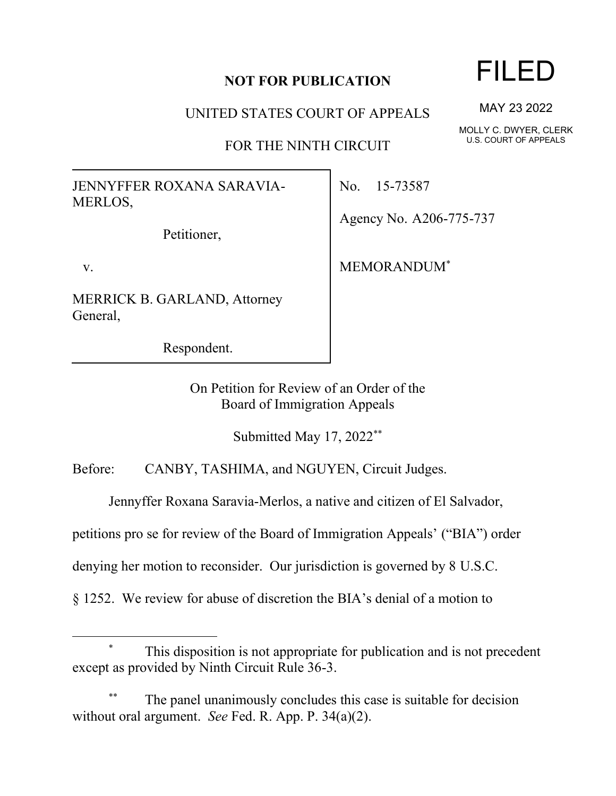## **NOT FOR PUBLICATION**

UNITED STATES COURT OF APPEALS

FOR THE NINTH CIRCUIT

JENNYFFER ROXANA SARAVIA-MERLOS,

Petitioner,

v.

MERRICK B. GARLAND, Attorney General,

Respondent.

No. 15-73587

Agency No. A206-775-737

MEMORANDUM\*

On Petition for Review of an Order of the Board of Immigration Appeals

Submitted May 17, 2022\*\*

Before: CANBY, TASHIMA, and NGUYEN, Circuit Judges.

Jennyffer Roxana Saravia-Merlos, a native and citizen of El Salvador,

petitions pro se for review of the Board of Immigration Appeals' ("BIA") order

denying her motion to reconsider. Our jurisdiction is governed by 8 U.S.C.

§ 1252. We review for abuse of discretion the BIA's denial of a motion to

The panel unanimously concludes this case is suitable for decision without oral argument. *See* Fed. R. App. P. 34(a)(2).

## FILED

MAY 23 2022

MOLLY C. DWYER, CLERK U.S. COURT OF APPEALS

This disposition is not appropriate for publication and is not precedent except as provided by Ninth Circuit Rule 36-3.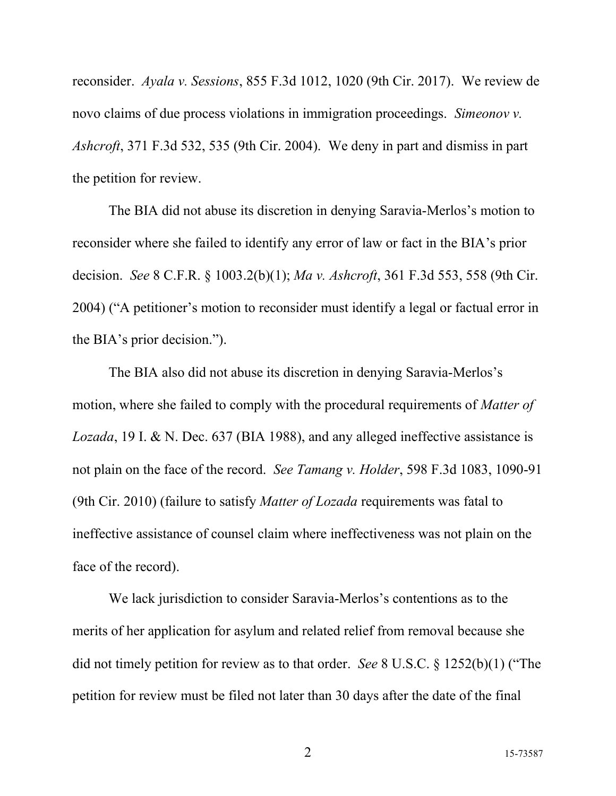reconsider. *Ayala v. Sessions*, 855 F.3d 1012, 1020 (9th Cir. 2017). We review de novo claims of due process violations in immigration proceedings. *Simeonov v. Ashcroft*, 371 F.3d 532, 535 (9th Cir. 2004). We deny in part and dismiss in part the petition for review.

The BIA did not abuse its discretion in denying Saravia-Merlos's motion to reconsider where she failed to identify any error of law or fact in the BIA's prior decision. *See* 8 C.F.R. § 1003.2(b)(1); *Ma v. Ashcroft*, 361 F.3d 553, 558 (9th Cir. 2004) ("A petitioner's motion to reconsider must identify a legal or factual error in the BIA's prior decision.").

The BIA also did not abuse its discretion in denying Saravia-Merlos's motion, where she failed to comply with the procedural requirements of *Matter of Lozada*, 19 I. & N. Dec. 637 (BIA 1988), and any alleged ineffective assistance is not plain on the face of the record. *See Tamang v. Holder*, 598 F.3d 1083, 1090-91 (9th Cir. 2010) (failure to satisfy *Matter of Lozada* requirements was fatal to ineffective assistance of counsel claim where ineffectiveness was not plain on the face of the record).

We lack jurisdiction to consider Saravia-Merlos's contentions as to the merits of her application for asylum and related relief from removal because she did not timely petition for review as to that order. *See* 8 U.S.C. § 1252(b)(1) ("The petition for review must be filed not later than 30 days after the date of the final